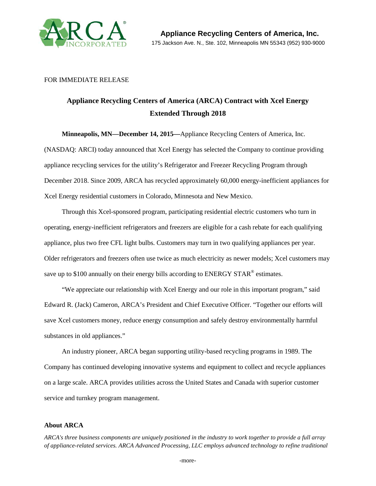

## FOR IMMEDIATE RELEASE

## **Appliance Recycling Centers of America (ARCA) Contract with Xcel Energy Extended Through 2018**

**Minneapolis, MN—December 14, 2015—**Appliance Recycling Centers of America, Inc. (NASDAQ: ARCI) today announced that Xcel Energy has selected the Company to continue providing appliance recycling services for the utility's Refrigerator and Freezer Recycling Program through December 2018. Since 2009, ARCA has recycled approximately 60,000 energy-inefficient appliances for Xcel Energy residential customers in Colorado, Minnesota and New Mexico.

Through this Xcel-sponsored program, participating residential electric customers who turn in operating, energy-inefficient refrigerators and freezers are eligible for a cash rebate for each qualifying appliance, plus two free CFL light bulbs. Customers may turn in two qualifying appliances per year. Older refrigerators and freezers often use twice as much electricity as newer models; Xcel customers may save up to \$100 annually on their energy bills according to ENERGY STAR<sup>®</sup> estimates.

"We appreciate our relationship with Xcel Energy and our role in this important program," said Edward R. (Jack) Cameron, ARCA's President and Chief Executive Officer. "Together our efforts will save Xcel customers money, reduce energy consumption and safely destroy environmentally harmful substances in old appliances."

An industry pioneer, ARCA began supporting utility-based recycling programs in 1989. The Company has continued developing innovative systems and equipment to collect and recycle appliances on a large scale. ARCA provides utilities across the United States and Canada with superior customer service and turnkey program management.

## **About ARCA**

*ARCA's three business components are uniquely positioned in the industry to work together to provide a full array of appliance-related services. ARCA Advanced Processing, LLC employs advanced technology to refine traditional*